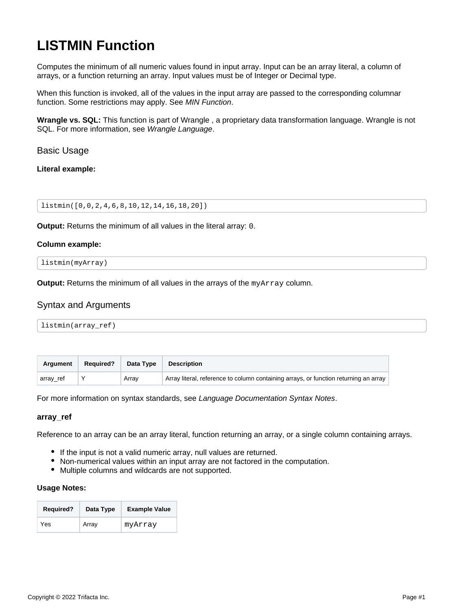# <span id="page-0-0"></span>**LISTMIN Function**

Computes the minimum of all numeric values found in input array. Input can be an array literal, a column of arrays, or a function returning an array. Input values must be of Integer or Decimal type.

When this function is invoked, all of the values in the input array are passed to the corresponding columnar function. Some restrictions may apply. See [MIN Function](https://docs.trifacta.com/display/r087/MIN+Function).

**Wrangle vs. SQL:** This function is part of Wrangle , a proprietary data transformation language. Wrangle is not SQL. For more information, see [Wrangle Language](https://docs.trifacta.com/display/r087/Wrangle+Language).

Basic Usage

**Literal example:**

listmin([0,0,2,4,6,8,10,12,14,16,18,20])

**Output:** Returns the minimum of all values in the literal array: 0.

### **Column example:**

listmin(myArray)

**Output:** Returns the minimum of all values in the arrays of the myArray column.

# Syntax and Arguments

| listmin(array_ref) |
|--------------------|
|--------------------|

| <b>Argument</b> | <b>Required?</b> | Data Type | <b>Description</b>                                                                   |
|-----------------|------------------|-----------|--------------------------------------------------------------------------------------|
| array_ref       |                  | Array     | Array literal, reference to column containing arrays, or function returning an array |

For more information on syntax standards, see [Language Documentation Syntax Notes](https://docs.trifacta.com/display/r087/Language+Documentation+Syntax+Notes).

### **array\_ref**

Reference to an array can be an array literal, function returning an array, or a single column containing arrays.

- If the input is not a valid numeric array, null values are returned.
- Non-numerical values within an input array are not factored in the computation.
- Multiple columns and wildcards are not supported.

#### **Usage Notes:**

| <b>Required?</b> | Data Type | <b>Example Value</b> |
|------------------|-----------|----------------------|
| Yes              | Array     | myArray              |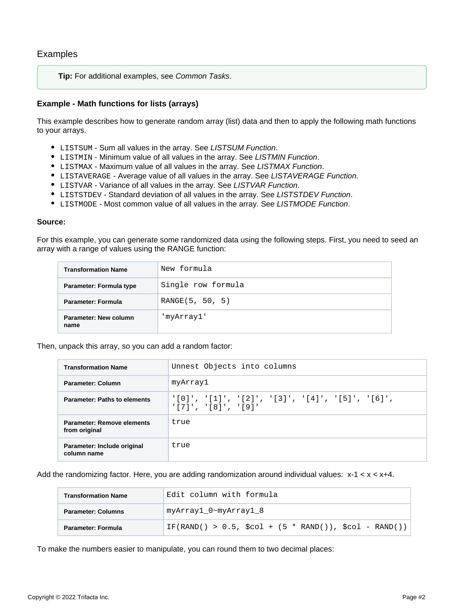**Tip:** For additional examples, see [Common Tasks](https://docs.trifacta.com/display/r087/Common+Tasks).

# **Example - Math functions for lists (arrays)**

This example describes how to generate random array (list) data and then to apply the following math functions to your arrays.

- $\bullet$  LISTSUM Sum all values in the array. See [LISTSUM Function](https://docs.trifacta.com/display/r087/LISTSUM+Function).
- $\bullet$  LISTMIN Minimum value of all values in the array. See [LISTMIN Function](#page-0-0).
- $\bullet$  LISTMAX Maximum value of all values in the array. See [LISTMAX Function](https://docs.trifacta.com/display/r087/LISTMAX+Function).
- **•** LISTAVERAGE Average value of all values in the array. See [LISTAVERAGE Function](https://docs.trifacta.com/display/r087/LISTAVERAGE+Function).
- LISTVAR Variance of all values in the array. See [LISTVAR Function](https://docs.trifacta.com/display/r087/LISTVAR+Function).
- $\bullet$  LISTSTDEV Standard deviation of all values in the array. See [LISTSTDEV Function](https://docs.trifacta.com/display/r087/LISTSTDEV+Function).
- $\bullet$  LISTMODE Most common value of all values in the array. See [LISTMODE Function](https://docs.trifacta.com/display/r087/LISTMODE+Function).

### **Source:**

For this example, you can generate some randomized data using the following steps. First, you need to seed an array with a range of values using the RANGE function:

| <b>Transformation Name</b>    | New formula        |
|-------------------------------|--------------------|
| Parameter: Formula type       | Single row formula |
| Parameter: Formula            | RANGE(5, 50, 5)    |
| Parameter: New column<br>name | 'myArray1'         |

Then, unpack this array, so you can add a random factor:

| <b>Transformation Name</b>                  | Unnest Objects into columns                                                |
|---------------------------------------------|----------------------------------------------------------------------------|
| Parameter: Column                           | myArray1                                                                   |
| <b>Parameter: Paths to elements</b>         | '[0]', '[1]', '[2]', '[3]', '[4]', '[5]', '[6]',<br>$'$ [7]', '[8]', '[9]' |
| Parameter: Remove elements<br>from original | true                                                                       |
| Parameter: Include original<br>column name  | true                                                                       |

Add the randomizing factor. Here, you are adding randomization around individual values:  $x-1 < x < x+4$ .

| <b>Transformation Name</b> | Edit column with formula                                               |
|----------------------------|------------------------------------------------------------------------|
| <b>Parameter: Columns</b>  | myArray1_0~myArray1_8                                                  |
| Parameter: Formula         | IF(RAND() > 0.5, $\text{Scol}$ + (5 * RAND()), $\text{Scol}$ - RAND()) |

To make the numbers easier to manipulate, you can round them to two decimal places: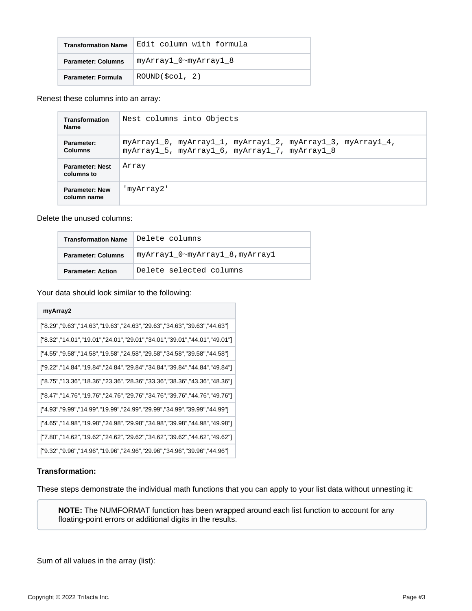| <b>Transformation Name</b> | Edit column with formula  |
|----------------------------|---------------------------|
| <b>Parameter: Columns</b>  | myArray1 0~myArray1 8     |
| Parameter: Formula         | $ROUND($ $\zeta col$ , 2) |

Renest these columns into an array:

| <b>Transformation</b><br><b>Name</b> | Nest columns into Objects                                                                                     |  |  |
|--------------------------------------|---------------------------------------------------------------------------------------------------------------|--|--|
| Parameter:<br><b>Columns</b>         | myArrayl 0, myArrayl 1, myArrayl 2, myArrayl 3, myArrayl 4,<br>myArray1_5, myArray1_6, myArray1_7, myArray1_8 |  |  |
| <b>Parameter: Nest</b><br>columns to | Array                                                                                                         |  |  |
| <b>Parameter: New</b><br>column name | 'myArray2'                                                                                                    |  |  |

Delete the unused columns:

| <b>Transformation Name</b> | Delete columns                  |
|----------------------------|---------------------------------|
| <b>Parameter: Columns</b>  | myArray1 0~myArray1 8, myArray1 |
| <b>Parameter: Action</b>   | Delete selected columns         |

Your data should look similar to the following:

| myArray2                                                                        |
|---------------------------------------------------------------------------------|
| ["8.29", "9.63", "14.63", "19.63", "24.63", "29.63", "34.63", "39.63", "44.63"] |
| ["8.32","14.01","19.01","24.01","29.01","34.01","39.01","44.01","49.01"         |
| ["4.55","9.58","14.58","19.58","24.58","29.58","34.58","39.58","44.58"]         |
| ["9.22","14.84","19.84","24.84","29.84","34.84","39.84","44.84","49.84"]        |
| ["8.75","13.36","18.36","23.36","28.36","33.36","38.36","43.36","48.36"]        |
| ["8.47","14.76","19.76","24.76","29.76","34.76","39.76","44.76","49.76"]        |
| ["4.93", "9.99", "14.99", "19.99", "24.99", "29.99", "34.99", "39.99", "44.99"] |
| ["4.65","14.98","19.98","24.98","29.98","34.98","39.98","44.98","49.98"]        |
| ["7.80","14.62","19.62","24.62","29.62","34.62","39.62","44.62","49.62"]        |
| ["9.32","9.96","14.96","19.96","24.96","29.96","34.96","39.96","44.96"]         |

### **Transformation:**

These steps demonstrate the individual math functions that you can apply to your list data without unnesting it:

**NOTE:** The NUMFORMAT function has been wrapped around each list function to account for any floating-point errors or additional digits in the results.

Sum of all values in the array (list):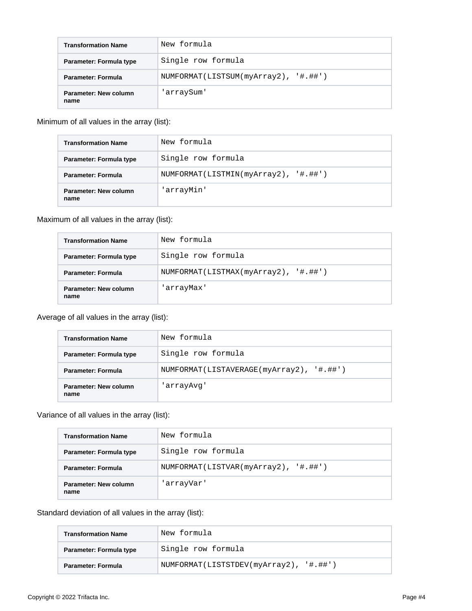| <b>Transformation Name</b>    | New formula                          |
|-------------------------------|--------------------------------------|
| Parameter: Formula type       | Single row formula                   |
| Parameter: Formula            | NUMFORMAT(LISTSUM(myArray2), '#.##') |
| Parameter: New column<br>name | 'arraySum'                           |

# Minimum of all values in the array (list):

| <b>Transformation Name</b>    | New formula                          |
|-------------------------------|--------------------------------------|
| Parameter: Formula type       | Single row formula                   |
| Parameter: Formula            | NUMFORMAT(LISTMIN(myArray2), '#.##') |
| Parameter: New column<br>name | 'arrayMin'                           |

# Maximum of all values in the array (list):

| <b>Transformation Name</b>    | New formula                          |
|-------------------------------|--------------------------------------|
| Parameter: Formula type       | Single row formula                   |
| <b>Parameter: Formula</b>     | NUMFORMAT(LISTMAX(myArray2), '#.##') |
| Parameter: New column<br>name | 'arrayMax'                           |

# Average of all values in the array (list):

| <b>Transformation Name</b>    | New formula                              |
|-------------------------------|------------------------------------------|
| Parameter: Formula type       | Single row formula                       |
| <b>Parameter: Formula</b>     | NUMFORMAT(LISTAVERAGE(myArray2), '#.##') |
| Parameter: New column<br>name | 'arrayAvq'                               |

# Variance of all values in the array (list):

| <b>Transformation Name</b>    | New formula                          |
|-------------------------------|--------------------------------------|
| Parameter: Formula type       | Single row formula                   |
| Parameter: Formula            | NUMFORMAT(LISTVAR(myArray2), '#.##') |
| Parameter: New column<br>name | 'arrayVar'                           |

# Standard deviation of all values in the array (list):

| <b>Transformation Name</b> | 'New formula                           |
|----------------------------|----------------------------------------|
| Parameter: Formula type    | Single row formula                     |
| Parameter: Formula         | NUMFORMAT(LISTSTDEV(myArray2), '#.##') |